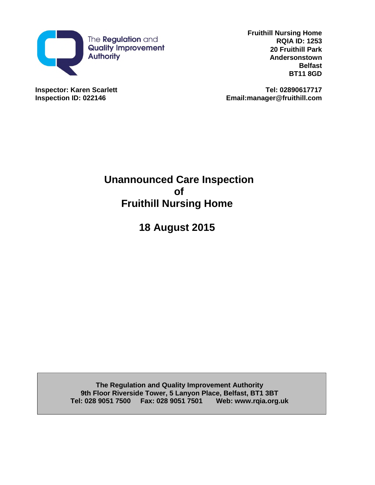

**Fruithill Nursing Home RQIA ID: 1253 20 Fruithill Park Andersonstown Belfast BT11 8GD**

**Inspector: Karen Scarlett Tel: 02890617717 Inspection ID: 022146 Email:manager@fruithill.com**

> **Unannounced Care Inspection of Fruithill Nursing Home**

> > **18 August 2015**

**The Regulation and Quality Improvement Authority 9th Floor Riverside Tower, 5 Lanyon Place, Belfast, BT1 3BT Tel: 028 9051 7500 Fax: 028 9051 7501 Web: www.rqia.org.uk**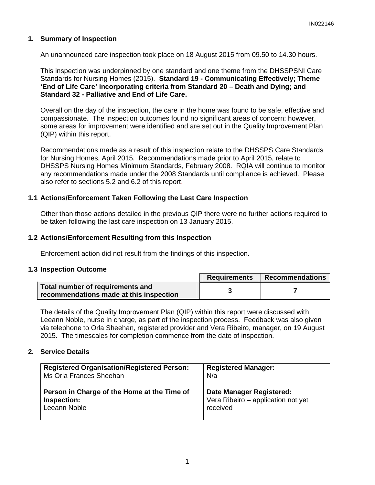## **1. Summary of Inspection**

An unannounced care inspection took place on 18 August 2015 from 09.50 to 14.30 hours.

This inspection was underpinned by one standard and one theme from the DHSSPSNI Care Standards for Nursing Homes (2015). **Standard 19 - Communicating Effectively; Theme 'End of Life Care' incorporating criteria from Standard 20 – Death and Dying; and Standard 32 - Palliative and End of Life Care.**

Overall on the day of the inspection, the care in the home was found to be safe, effective and compassionate. The inspection outcomes found no significant areas of concern; however, some areas for improvement were identified and are set out in the Quality Improvement Plan (QIP) within this report.

Recommendations made as a result of this inspection relate to the DHSSPS Care Standards for Nursing Homes, April 2015. Recommendations made prior to April 2015, relate to DHSSPS Nursing Homes Minimum Standards, February 2008. RQIA will continue to monitor any recommendations made under the 2008 Standards until compliance is achieved. Please also refer to sections 5.2 and 6.2 of this report.

## **1.1 Actions/Enforcement Taken Following the Last Care Inspection**

Other than those actions detailed in the previous QIP there were no further actions required to be taken following the last care inspection on 13 January 2015.

#### **1.2 Actions/Enforcement Resulting from this Inspection**

Enforcement action did not result from the findings of this inspection.

#### **1.3 Inspection Outcome**

|                                                                             | <b>Requirements</b> | <b>Recommendations</b> |
|-----------------------------------------------------------------------------|---------------------|------------------------|
| Total number of requirements and<br>recommendations made at this inspection |                     |                        |

The details of the Quality Improvement Plan (QIP) within this report were discussed with Leeann Noble, nurse in charge, as part of the inspection process. Feedback was also given via telephone to Orla Sheehan, registered provider and Vera Ribeiro, manager, on 19 August 2015. The timescales for completion commence from the date of inspection.

## **2. Service Details**

| <b>Registered Organisation/Registered Person:</b> | <b>Registered Manager:</b>         |
|---------------------------------------------------|------------------------------------|
| Ms Orla Frances Sheehan                           | N/a                                |
| Person in Charge of the Home at the Time of       | <b>Date Manager Registered:</b>    |
| Inspection:                                       | Vera Ribeiro - application not yet |
| Leeann Noble                                      | received                           |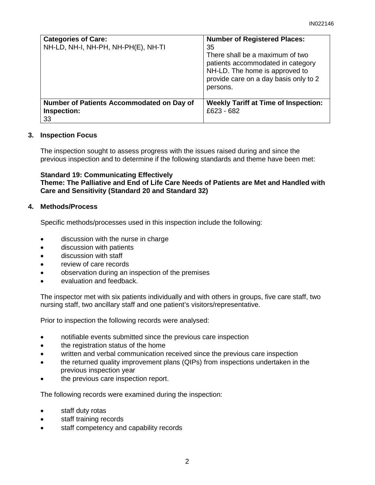| <b>Categories of Care:</b><br>NH-LD, NH-I, NH-PH, NH-PH(E), NH-TI | <b>Number of Registered Places:</b><br>35<br>There shall be a maximum of two<br>patients accommodated in category<br>NH-LD. The home is approved to<br>provide care on a day basis only to 2<br>persons. |
|-------------------------------------------------------------------|----------------------------------------------------------------------------------------------------------------------------------------------------------------------------------------------------------|
| Number of Patients Accommodated on Day of<br>Inspection:<br>33    | <b>Weekly Tariff at Time of Inspection:</b><br>£623 - 682                                                                                                                                                |

# **3. Inspection Focus**

The inspection sought to assess progress with the issues raised during and since the previous inspection and to determine if the following standards and theme have been met:

**Standard 19: Communicating Effectively Theme: The Palliative and End of Life Care Needs of Patients are Met and Handled with Care and Sensitivity (Standard 20 and Standard 32)**

# **4. Methods/Process**

Specific methods/processes used in this inspection include the following:

- discussion with the nurse in charge
- discussion with patients
- discussion with staff
- review of care records
- observation during an inspection of the premises
- evaluation and feedback.

The inspector met with six patients individually and with others in groups, five care staff, two nursing staff, two ancillary staff and one patient's visitors/representative.

Prior to inspection the following records were analysed:

- notifiable events submitted since the previous care inspection
- the registration status of the home
- written and verbal communication received since the previous care inspection
- the returned quality improvement plans (QIPs) from inspections undertaken in the previous inspection year
- the previous care inspection report.

The following records were examined during the inspection:

- staff duty rotas
- staff training records
- staff competency and capability records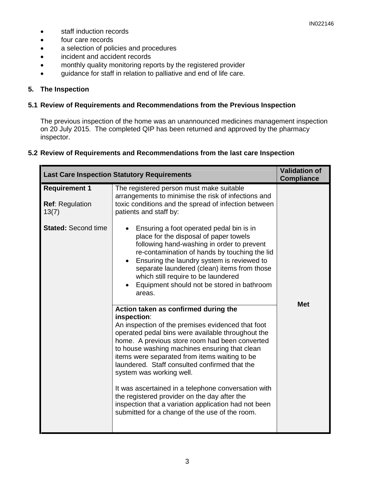- staff induction records
- four care records
- a selection of policies and procedures
- incident and accident records
- monthly quality monitoring reports by the registered provider
- guidance for staff in relation to palliative and end of life care.

## **5. The Inspection**

#### **5.1 Review of Requirements and Recommendations from the Previous Inspection**

The previous inspection of the home was an unannounced medicines management inspection on 20 July 2015. The completed QIP has been returned and approved by the pharmacy inspector.

#### **5.2 Review of Requirements and Recommendations from the last care Inspection**

| <b>Last Care Inspection Statutory Requirements</b>      | <b>Validation of</b><br><b>Compliance</b>                                                                                                                                                                                                                                                                                                                                                                                                                                                                                                                                                                                                                                                                                                                                                                                                                                                                                                                                                        |            |
|---------------------------------------------------------|--------------------------------------------------------------------------------------------------------------------------------------------------------------------------------------------------------------------------------------------------------------------------------------------------------------------------------------------------------------------------------------------------------------------------------------------------------------------------------------------------------------------------------------------------------------------------------------------------------------------------------------------------------------------------------------------------------------------------------------------------------------------------------------------------------------------------------------------------------------------------------------------------------------------------------------------------------------------------------------------------|------------|
| <b>Requirement 1</b><br><b>Ref: Regulation</b><br>13(7) | The registered person must make suitable<br>arrangements to minimise the risk of infections and<br>toxic conditions and the spread of infection between<br>patients and staff by:                                                                                                                                                                                                                                                                                                                                                                                                                                                                                                                                                                                                                                                                                                                                                                                                                |            |
| <b>Stated: Second time</b>                              | Ensuring a foot operated pedal bin is in<br>place for the disposal of paper towels<br>following hand-washing in order to prevent<br>re-contamination of hands by touching the lid<br>Ensuring the laundry system is reviewed to<br>separate laundered (clean) items from those<br>which still require to be laundered<br>Equipment should not be stored in bathroom<br>areas.<br>Action taken as confirmed during the<br>inspection:<br>An inspection of the premises evidenced that foot<br>operated pedal bins were available throughout the<br>home. A previous store room had been converted<br>to house washing machines ensuring that clean<br>items were separated from items waiting to be<br>laundered. Staff consulted confirmed that the<br>system was working well.<br>It was ascertained in a telephone conversation with<br>the registered provider on the day after the<br>inspection that a variation application had not been<br>submitted for a change of the use of the room. | <b>Met</b> |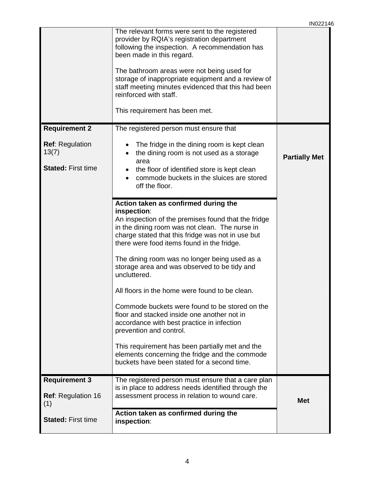|                                                              |                                                                                                                                                                                                                                                                                                                                                                                                                                                                                                                                                                                                                                                                                                                                                                  | 11 NUZZ 1*           |
|--------------------------------------------------------------|------------------------------------------------------------------------------------------------------------------------------------------------------------------------------------------------------------------------------------------------------------------------------------------------------------------------------------------------------------------------------------------------------------------------------------------------------------------------------------------------------------------------------------------------------------------------------------------------------------------------------------------------------------------------------------------------------------------------------------------------------------------|----------------------|
|                                                              | The relevant forms were sent to the registered<br>provider by RQIA's registration department<br>following the inspection. A recommendation has<br>been made in this regard.<br>The bathroom areas were not being used for<br>storage of inappropriate equipment and a review of<br>staff meeting minutes evidenced that this had been<br>reinforced with staff.<br>This requirement has been met.                                                                                                                                                                                                                                                                                                                                                                |                      |
| <b>Requirement 2</b>                                         | The registered person must ensure that                                                                                                                                                                                                                                                                                                                                                                                                                                                                                                                                                                                                                                                                                                                           |                      |
| <b>Ref: Regulation</b><br>13(7)<br><b>Stated: First time</b> | The fridge in the dining room is kept clean<br>the dining room is not used as a storage<br>area<br>the floor of identified store is kept clean<br>commode buckets in the sluices are stored<br>off the floor.                                                                                                                                                                                                                                                                                                                                                                                                                                                                                                                                                    | <b>Partially Met</b> |
|                                                              | Action taken as confirmed during the<br>inspection:<br>An inspection of the premises found that the fridge<br>in the dining room was not clean. The nurse in<br>charge stated that this fridge was not in use but<br>there were food items found in the fridge.<br>The dining room was no longer being used as a<br>storage area and was observed to be tidy and<br>uncluttered.<br>All floors in the home were found to be clean.<br>Commode buckets were found to be stored on the<br>floor and stacked inside one another not in<br>accordance with best practice in infection<br>prevention and control.<br>This requirement has been partially met and the<br>elements concerning the fridge and the commode<br>buckets have been stated for a second time. |                      |
| <b>Requirement 3</b><br><b>Ref:</b> Regulation 16<br>(1)     | The registered person must ensure that a care plan<br>is in place to address needs identified through the<br>assessment process in relation to wound care.                                                                                                                                                                                                                                                                                                                                                                                                                                                                                                                                                                                                       | <b>Met</b>           |
| <b>Stated: First time</b>                                    | Action taken as confirmed during the<br>inspection:                                                                                                                                                                                                                                                                                                                                                                                                                                                                                                                                                                                                                                                                                                              |                      |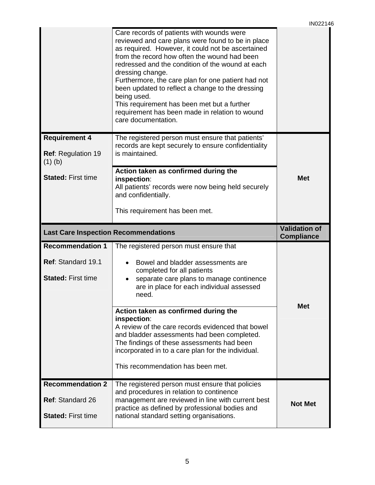|                                                         | Care records of patients with wounds were<br>reviewed and care plans were found to be in place<br>as required. However, it could not be ascertained<br>from the record how often the wound had been<br>redressed and the condition of the wound at each<br>dressing change.<br>Furthermore, the care plan for one patient had not<br>been updated to reflect a change to the dressing<br>being used.<br>This requirement has been met but a further<br>requirement has been made in relation to wound<br>care documentation. |                                           |
|---------------------------------------------------------|------------------------------------------------------------------------------------------------------------------------------------------------------------------------------------------------------------------------------------------------------------------------------------------------------------------------------------------------------------------------------------------------------------------------------------------------------------------------------------------------------------------------------|-------------------------------------------|
| <b>Requirement 4</b><br>Ref: Regulation 19<br>$(1)$ (b) | The registered person must ensure that patients'<br>records are kept securely to ensure confidentiality<br>is maintained.                                                                                                                                                                                                                                                                                                                                                                                                    |                                           |
| <b>Stated: First time</b>                               | Action taken as confirmed during the<br>inspection:<br>All patients' records were now being held securely<br>and confidentially.                                                                                                                                                                                                                                                                                                                                                                                             | <b>Met</b>                                |
|                                                         | This requirement has been met.                                                                                                                                                                                                                                                                                                                                                                                                                                                                                               |                                           |
|                                                         |                                                                                                                                                                                                                                                                                                                                                                                                                                                                                                                              |                                           |
| <b>Last Care Inspection Recommendations</b>             |                                                                                                                                                                                                                                                                                                                                                                                                                                                                                                                              | <b>Validation of</b><br><b>Compliance</b> |
| <b>Recommendation 1</b>                                 | The registered person must ensure that                                                                                                                                                                                                                                                                                                                                                                                                                                                                                       |                                           |
| Ref: Standard 19.1<br><b>Stated: First time</b>         | Bowel and bladder assessments are<br>completed for all patients<br>separate care plans to manage continence<br>are in place for each individual assessed<br>need.                                                                                                                                                                                                                                                                                                                                                            |                                           |
|                                                         | Action taken as confirmed during the<br>inspection:<br>A review of the care records evidenced that bowel<br>and bladder assessments had been completed.<br>The findings of these assessments had been<br>incorporated in to a care plan for the individual.<br>This recommendation has been met.                                                                                                                                                                                                                             | <b>Met</b>                                |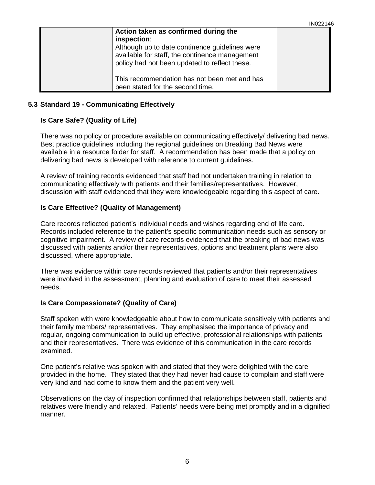| Action taken as confirmed during the<br>inspection:<br>Although up to date continence guidelines were<br>available for staff, the continence management<br>policy had not been updated to reflect these. |  |
|----------------------------------------------------------------------------------------------------------------------------------------------------------------------------------------------------------|--|
| This recommendation has not been met and has<br>been stated for the second time.                                                                                                                         |  |

## **5.3 Standard 19 - Communicating Effectively**

# **Is Care Safe? (Quality of Life)**

There was no policy or procedure available on communicating effectively/ delivering bad news. Best practice guidelines including the regional guidelines on Breaking Bad News were available in a resource folder for staff. A recommendation has been made that a policy on delivering bad news is developed with reference to current guidelines.

A review of training records evidenced that staff had not undertaken training in relation to communicating effectively with patients and their families/representatives. However, discussion with staff evidenced that they were knowledgeable regarding this aspect of care.

## **Is Care Effective? (Quality of Management)**

Care records reflected patient's individual needs and wishes regarding end of life care. Records included reference to the patient's specific communication needs such as sensory or cognitive impairment. A review of care records evidenced that the breaking of bad news was discussed with patients and/or their representatives, options and treatment plans were also discussed, where appropriate.

There was evidence within care records reviewed that patients and/or their representatives were involved in the assessment, planning and evaluation of care to meet their assessed needs.

## **Is Care Compassionate? (Quality of Care)**

Staff spoken with were knowledgeable about how to communicate sensitively with patients and their family members/ representatives. They emphasised the importance of privacy and regular, ongoing communication to build up effective, professional relationships with patients and their representatives. There was evidence of this communication in the care records examined.

One patient's relative was spoken with and stated that they were delighted with the care provided in the home. They stated that they had never had cause to complain and staff were very kind and had come to know them and the patient very well.

Observations on the day of inspection confirmed that relationships between staff, patients and relatives were friendly and relaxed. Patients' needs were being met promptly and in a dignified manner.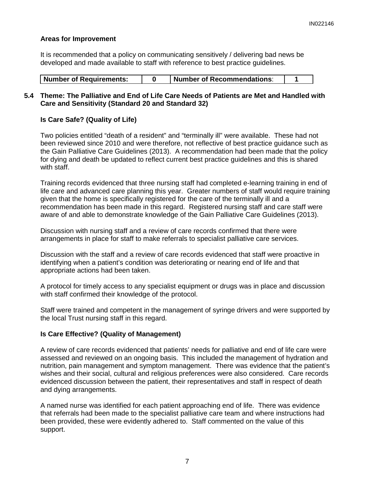## **Areas for Improvement**

It is recommended that a policy on communicating sensitively / delivering bad news be developed and made available to staff with reference to best practice guidelines.

| <b>Number of Requirements:</b> |  | Number of Recommendations: |  |
|--------------------------------|--|----------------------------|--|
|--------------------------------|--|----------------------------|--|

## **5.4 Theme: The Palliative and End of Life Care Needs of Patients are Met and Handled with Care and Sensitivity (Standard 20 and Standard 32)**

# **Is Care Safe? (Quality of Life)**

Two policies entitled "death of a resident" and "terminally ill" were available. These had not been reviewed since 2010 and were therefore, not reflective of best practice guidance such as the Gain Palliative Care Guidelines (2013). A recommendation had been made that the policy for dying and death be updated to reflect current best practice guidelines and this is shared with staff.

Training records evidenced that three nursing staff had completed e-learning training in end of life care and advanced care planning this year. Greater numbers of staff would require training given that the home is specifically registered for the care of the terminally ill and a recommendation has been made in this regard. Registered nursing staff and care staff were aware of and able to demonstrate knowledge of the Gain Palliative Care Guidelines (2013).

Discussion with nursing staff and a review of care records confirmed that there were arrangements in place for staff to make referrals to specialist palliative care services.

Discussion with the staff and a review of care records evidenced that staff were proactive in identifying when a patient's condition was deteriorating or nearing end of life and that appropriate actions had been taken.

A protocol for timely access to any specialist equipment or drugs was in place and discussion with staff confirmed their knowledge of the protocol.

Staff were trained and competent in the management of syringe drivers and were supported by the local Trust nursing staff in this regard.

## **Is Care Effective? (Quality of Management)**

A review of care records evidenced that patients' needs for palliative and end of life care were assessed and reviewed on an ongoing basis. This included the management of hydration and nutrition, pain management and symptom management. There was evidence that the patient's wishes and their social, cultural and religious preferences were also considered. Care records evidenced discussion between the patient, their representatives and staff in respect of death and dying arrangements.

A named nurse was identified for each patient approaching end of life. There was evidence that referrals had been made to the specialist palliative care team and where instructions had been provided, these were evidently adhered to. Staff commented on the value of this support.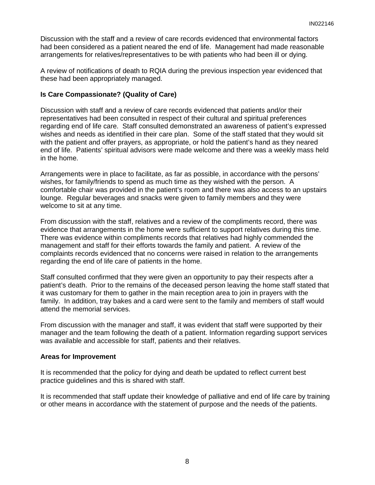Discussion with the staff and a review of care records evidenced that environmental factors had been considered as a patient neared the end of life. Management had made reasonable arrangements for relatives/representatives to be with patients who had been ill or dying.

A review of notifications of death to RQIA during the previous inspection year evidenced that these had been appropriately managed.

# **Is Care Compassionate? (Quality of Care)**

Discussion with staff and a review of care records evidenced that patients and/or their representatives had been consulted in respect of their cultural and spiritual preferences regarding end of life care. Staff consulted demonstrated an awareness of patient's expressed wishes and needs as identified in their care plan. Some of the staff stated that they would sit with the patient and offer prayers, as appropriate, or hold the patient's hand as they neared end of life. Patients' spiritual advisors were made welcome and there was a weekly mass held in the home.

Arrangements were in place to facilitate, as far as possible, in accordance with the persons' wishes, for family/friends to spend as much time as they wished with the person. A comfortable chair was provided in the patient's room and there was also access to an upstairs lounge. Regular beverages and snacks were given to family members and they were welcome to sit at any time.

From discussion with the staff, relatives and a review of the compliments record, there was evidence that arrangements in the home were sufficient to support relatives during this time. There was evidence within compliments records that relatives had highly commended the management and staff for their efforts towards the family and patient. A review of the complaints records evidenced that no concerns were raised in relation to the arrangements regarding the end of life care of patients in the home.

Staff consulted confirmed that they were given an opportunity to pay their respects after a patient's death. Prior to the remains of the deceased person leaving the home staff stated that it was customary for them to gather in the main reception area to join in prayers with the family. In addition, tray bakes and a card were sent to the family and members of staff would attend the memorial services.

From discussion with the manager and staff, it was evident that staff were supported by their manager and the team following the death of a patient. Information regarding support services was available and accessible for staff, patients and their relatives.

#### **Areas for Improvement**

It is recommended that the policy for dying and death be updated to reflect current best practice guidelines and this is shared with staff.

It is recommended that staff update their knowledge of palliative and end of life care by training or other means in accordance with the statement of purpose and the needs of the patients.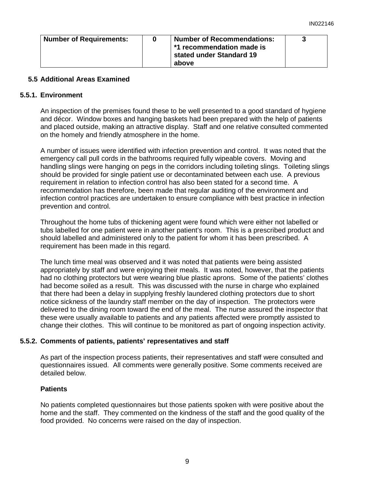| <b>Number of Requirements:</b> | <b>Number of Recommendations:</b><br>*1 recommendation made is<br>stated under Standard 19<br>above |  |
|--------------------------------|-----------------------------------------------------------------------------------------------------|--|
|                                |                                                                                                     |  |

## **5.5 Additional Areas Examined**

#### **5.5.1. Environment**

An inspection of the premises found these to be well presented to a good standard of hygiene and décor. Window boxes and hanging baskets had been prepared with the help of patients and placed outside, making an attractive display. Staff and one relative consulted commented on the homely and friendly atmosphere in the home.

A number of issues were identified with infection prevention and control. It was noted that the emergency call pull cords in the bathrooms required fully wipeable covers. Moving and handling slings were hanging on pegs in the corridors including toileting slings. Toileting slings should be provided for single patient use or decontaminated between each use. A previous requirement in relation to infection control has also been stated for a second time. A recommendation has therefore, been made that regular auditing of the environment and infection control practices are undertaken to ensure compliance with best practice in infection prevention and control.

Throughout the home tubs of thickening agent were found which were either not labelled or tubs labelled for one patient were in another patient's room. This is a prescribed product and should labelled and administered only to the patient for whom it has been prescribed. A requirement has been made in this regard.

The lunch time meal was observed and it was noted that patients were being assisted appropriately by staff and were enjoying their meals. It was noted, however, that the patients had no clothing protectors but were wearing blue plastic aprons. Some of the patients' clothes had become soiled as a result. This was discussed with the nurse in charge who explained that there had been a delay in supplying freshly laundered clothing protectors due to short notice sickness of the laundry staff member on the day of inspection. The protectors were delivered to the dining room toward the end of the meal. The nurse assured the inspector that these were usually available to patients and any patients affected were promptly assisted to change their clothes. This will continue to be monitored as part of ongoing inspection activity.

## **5.5.2. Comments of patients, patients' representatives and staff**

As part of the inspection process patients, their representatives and staff were consulted and questionnaires issued. All comments were generally positive. Some comments received are detailed below.

## **Patients**

No patients completed questionnaires but those patients spoken with were positive about the home and the staff. They commented on the kindness of the staff and the good quality of the food provided. No concerns were raised on the day of inspection.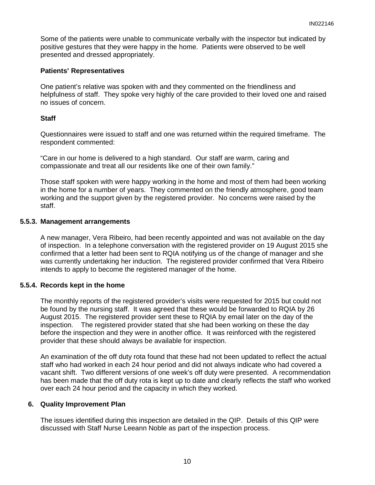Some of the patients were unable to communicate verbally with the inspector but indicated by positive gestures that they were happy in the home. Patients were observed to be well presented and dressed appropriately.

## **Patients' Representatives**

One patient's relative was spoken with and they commented on the friendliness and helpfulness of staff. They spoke very highly of the care provided to their loved one and raised no issues of concern.

# **Staff**

Questionnaires were issued to staff and one was returned within the required timeframe. The respondent commented:

"Care in our home is delivered to a high standard. Our staff are warm, caring and compassionate and treat all our residents like one of their own family."

Those staff spoken with were happy working in the home and most of them had been working in the home for a number of years. They commented on the friendly atmosphere, good team working and the support given by the registered provider. No concerns were raised by the staff.

## **5.5.3. Management arrangements**

A new manager, Vera Ribeiro, had been recently appointed and was not available on the day of inspection. In a telephone conversation with the registered provider on 19 August 2015 she confirmed that a letter had been sent to RQIA notifying us of the change of manager and she was currently undertaking her induction. The registered provider confirmed that Vera Ribeiro intends to apply to become the registered manager of the home.

## **5.5.4. Records kept in the home**

The monthly reports of the registered provider's visits were requested for 2015 but could not be found by the nursing staff. It was agreed that these would be forwarded to RQIA by 26 August 2015. The registered provider sent these to RQIA by email later on the day of the inspection. The registered provider stated that she had been working on these the day before the inspection and they were in another office. It was reinforced with the registered provider that these should always be available for inspection.

An examination of the off duty rota found that these had not been updated to reflect the actual staff who had worked in each 24 hour period and did not always indicate who had covered a vacant shift. Two different versions of one week's off duty were presented. A recommendation has been made that the off duty rota is kept up to date and clearly reflects the staff who worked over each 24 hour period and the capacity in which they worked.

## **6. Quality Improvement Plan**

The issues identified during this inspection are detailed in the QIP. Details of this QIP were discussed with Staff Nurse Leeann Noble as part of the inspection process.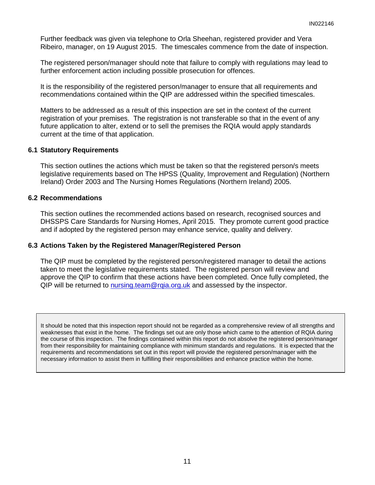Further feedback was given via telephone to Orla Sheehan, registered provider and Vera Ribeiro, manager, on 19 August 2015. The timescales commence from the date of inspection.

The registered person/manager should note that failure to comply with regulations may lead to further enforcement action including possible prosecution for offences.

It is the responsibility of the registered person/manager to ensure that all requirements and recommendations contained within the QIP are addressed within the specified timescales.

Matters to be addressed as a result of this inspection are set in the context of the current registration of your premises. The registration is not transferable so that in the event of any future application to alter, extend or to sell the premises the RQIA would apply standards current at the time of that application.

#### **6.1 Statutory Requirements**

This section outlines the actions which must be taken so that the registered person/s meets legislative requirements based on The HPSS (Quality, Improvement and Regulation) (Northern Ireland) Order 2003 and The Nursing Homes Regulations (Northern Ireland) 2005.

#### **6.2 Recommendations**

This section outlines the recommended actions based on research, recognised sources and DHSSPS Care Standards for Nursing Homes, April 2015. They promote current good practice and if adopted by the registered person may enhance service, quality and delivery.

#### **6.3 Actions Taken by the Registered Manager/Registered Person**

The QIP must be completed by the registered person/registered manager to detail the actions taken to meet the legislative requirements stated. The registered person will review and approve the QIP to confirm that these actions have been completed. Once fully completed, the QIP will be returned to nursing.team@rqia.org.uk and assessed by the inspector.

It should be noted that this inspection report should not be regarded as a comprehensive review of all strengths and weaknesses that exist in the home. The findings set out are only those which came to the attention of RQIA during the course of this inspection. The findings contained within this report do not absolve the registered person/manager from their responsibility for maintaining compliance with minimum standards and regulations. It is expected that the requirements and recommendations set out in this report will provide the registered person/manager with the necessary information to assist them in fulfilling their responsibilities and enhance practice within the home.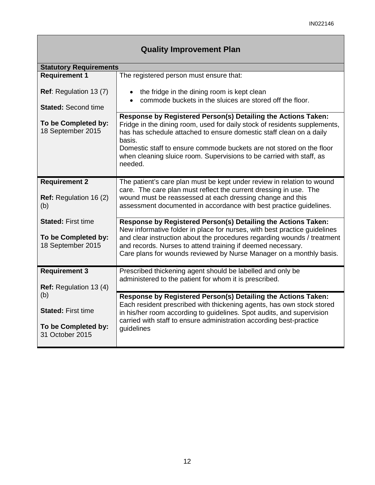| <b>Quality Improvement Plan</b>                                            |                                                                                                                                                                                                                                                                                                                                                                                        |  |  |  |
|----------------------------------------------------------------------------|----------------------------------------------------------------------------------------------------------------------------------------------------------------------------------------------------------------------------------------------------------------------------------------------------------------------------------------------------------------------------------------|--|--|--|
| <b>Statutory Requirements</b>                                              |                                                                                                                                                                                                                                                                                                                                                                                        |  |  |  |
| <b>Requirement 1</b>                                                       | The registered person must ensure that:                                                                                                                                                                                                                                                                                                                                                |  |  |  |
| <b>Ref:</b> Regulation 13 (7)<br><b>Stated: Second time</b>                | • the fridge in the dining room is kept clean<br>commode buckets in the sluices are stored off the floor.                                                                                                                                                                                                                                                                              |  |  |  |
| To be Completed by:<br>18 September 2015                                   | Response by Registered Person(s) Detailing the Actions Taken:<br>Fridge in the dining room, used for daily stock of residents supplements,<br>has has schedule attached to ensure domestic staff clean on a daily<br>basis.<br>Domestic staff to ensure commode buckets are not stored on the floor<br>when cleaning sluice room. Supervisions to be carried with staff, as<br>needed. |  |  |  |
| <b>Requirement 2</b><br><b>Ref:</b> Regulation 16 (2)<br>(b)               | The patient's care plan must be kept under review in relation to wound<br>care. The care plan must reflect the current dressing in use. The<br>wound must be reassessed at each dressing change and this<br>assessment documented in accordance with best practice guidelines.                                                                                                         |  |  |  |
| <b>Stated: First time</b><br>To be Completed by:<br>18 September 2015      | Response by Registered Person(s) Detailing the Actions Taken:<br>New informative folder in place for nurses, with best practice guidelines<br>and clear instruction about the procedures regarding wounds / treatment<br>and records. Nurses to attend training if deemed necessary.<br>Care plans for wounds reviewed by Nurse Manager on a monthly basis.                            |  |  |  |
| <b>Requirement 3</b><br>Ref: Regulation 13 (4)                             | Prescribed thickening agent should be labelled and only be<br>administered to the patient for whom it is prescribed.                                                                                                                                                                                                                                                                   |  |  |  |
| (b)<br><b>Stated: First time</b><br>To be Completed by:<br>31 October 2015 | Response by Registered Person(s) Detailing the Actions Taken:<br>Each resident prescribed with thickening agents, has own stock stored<br>in his/her room according to guidelines. Spot audits, and supervision<br>carried with staff to ensure administration according best-practice<br>guidelines                                                                                   |  |  |  |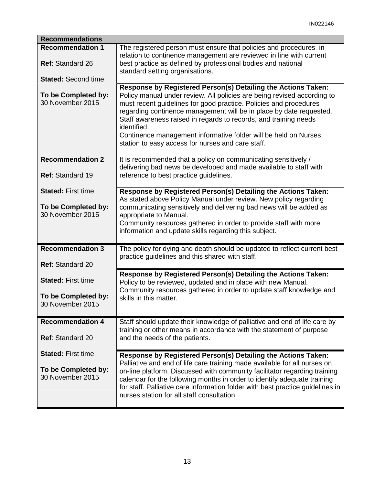| <b>Recommendations</b>                             |                                                                                                                                                                                                                                                                                                                                                                                                                                                                                                 |
|----------------------------------------------------|-------------------------------------------------------------------------------------------------------------------------------------------------------------------------------------------------------------------------------------------------------------------------------------------------------------------------------------------------------------------------------------------------------------------------------------------------------------------------------------------------|
| <b>Recommendation 1</b><br><b>Ref: Standard 26</b> | The registered person must ensure that policies and procedures in<br>relation to continence management are reviewed in line with current<br>best practice as defined by professional bodies and national                                                                                                                                                                                                                                                                                        |
|                                                    | standard setting organisations.                                                                                                                                                                                                                                                                                                                                                                                                                                                                 |
| <b>Stated: Second time</b>                         |                                                                                                                                                                                                                                                                                                                                                                                                                                                                                                 |
| To be Completed by:<br>30 November 2015            | Response by Registered Person(s) Detailing the Actions Taken:<br>Policy manual under review. All policies are being revised according to<br>must recent guidelines for good practice. Policies and procedures<br>regarding continence management will be in place by date requested.<br>Staff awareness raised in regards to records, and training needs<br>identified.<br>Continence management informative folder will be held on Nurses<br>station to easy access for nurses and care staff. |
| <b>Recommendation 2</b>                            | It is recommended that a policy on communicating sensitively /<br>delivering bad news be developed and made available to staff with                                                                                                                                                                                                                                                                                                                                                             |
| Ref: Standard 19                                   | reference to best practice guidelines.                                                                                                                                                                                                                                                                                                                                                                                                                                                          |
| <b>Stated: First time</b><br>To be Completed by:   | Response by Registered Person(s) Detailing the Actions Taken:<br>As stated above Policy Manual under review. New policy regarding<br>communicating sensitively and delivering bad news will be added as                                                                                                                                                                                                                                                                                         |
| 30 November 2015                                   | appropriate to Manual.<br>Community resources gathered in order to provide staff with more<br>information and update skills regarding this subject.                                                                                                                                                                                                                                                                                                                                             |
| <b>Recommendation 3</b><br>Ref: Standard 20        | The policy for dying and death should be updated to reflect current best<br>practice guidelines and this shared with staff.                                                                                                                                                                                                                                                                                                                                                                     |
| <b>Stated: First time</b>                          | Response by Registered Person(s) Detailing the Actions Taken:<br>Policy to be reviewed, updated and in place with new Manual.<br>Community resources gathered in order to update staff knowledge and                                                                                                                                                                                                                                                                                            |
| To be Completed by:<br>30 November 2015            | skills in this matter.                                                                                                                                                                                                                                                                                                                                                                                                                                                                          |
| <b>Recommendation 4</b>                            | Staff should update their knowledge of palliative and end of life care by                                                                                                                                                                                                                                                                                                                                                                                                                       |
| <b>Ref: Standard 20</b>                            | training or other means in accordance with the statement of purpose<br>and the needs of the patients.                                                                                                                                                                                                                                                                                                                                                                                           |
| <b>Stated: First time</b>                          | Response by Registered Person(s) Detailing the Actions Taken:                                                                                                                                                                                                                                                                                                                                                                                                                                   |
| To be Completed by:<br>30 November 2015            | Palliative and end of life care training made available for all nurses on<br>on-line platform. Discussed with community facilitator regarding training<br>calendar for the following months in order to identify adequate training<br>for staff. Palliative care information folder with best practice guidelines in<br>nurses station for all staff consultation.                                                                                                                              |